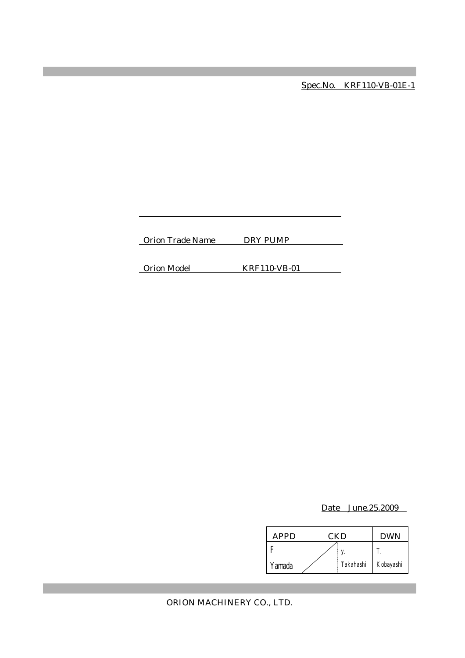Spec.No. KRF110-VB-01E-1

Orion Trade Name DRY PUMP

Orion Model KRF110-VB-01

Date June.25.2009

| APPD   | CKD |           | <b>DWN</b> |
|--------|-----|-----------|------------|
|        |     |           |            |
| Yamada |     | Takahashi | Kobayashi  |

ORION MACHINERY CO., LTD.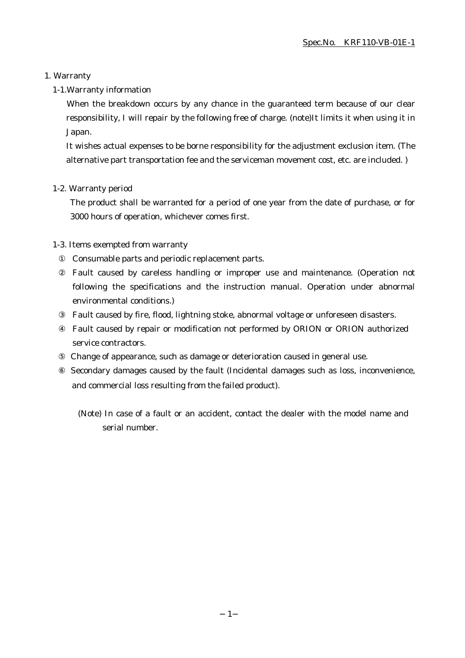### 1. Warranty

### 1-1.Warranty information

When the breakdown occurs by any chance in the guaranteed term because of our clear responsibility, I will repair by the following free of charge. (note)It limits it when using it in Japan.

It wishes actual expenses to be borne responsibility for the adjustment exclusion item. (The alternative part transportation fee and the serviceman movement cost, etc. are included. )

### 1-2. Warranty period

The product shall be warranted for a period of one year from the date of purchase, or for 3000 hours of operation, whichever comes first.

### 1-3. Items exempted from warranty

Consumable parts and periodic replacement parts.

Fault caused by careless handling or improper use and maintenance. (Operation not following the specifications and the instruction manual. Operation under abnormal environmental conditions.)

Fault caused by fire, flood, lightning stoke, abnormal voltage or unforeseen disasters.

Fault caused by repair or modification not performed by ORION or ORION authorized service contractors.

Change of appearance, such as damage or deterioration caused in general use.

 Secondary damages caused by the fault (Incidental damages such as loss, inconvenience, and commercial loss resulting from the failed product).

(Note) In case of a fault or an accident, contact the dealer with the model name and serial number.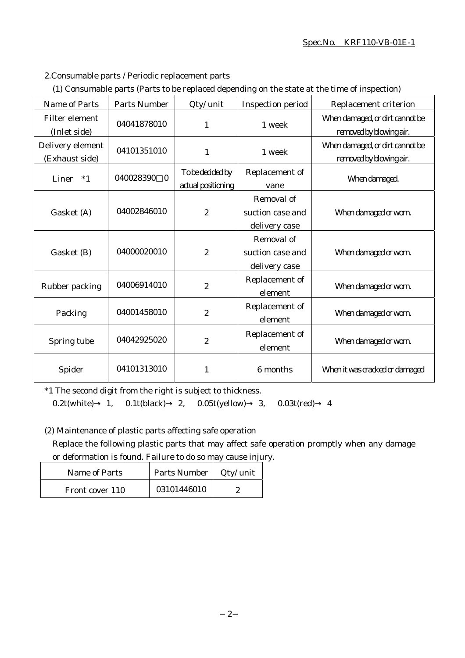#### Spec.No. KRF110-VB-01E-1

2.Consumable parts / Periodic replacement parts

|  | (1) Consumable parts (Parts to be replaced depending on the state at the time of inspection) |  |
|--|----------------------------------------------------------------------------------------------|--|
|  |                                                                                              |  |

| <b>Name of Parts</b>                  | <b>Parts Number</b>       | Qty/ unit                              | <b>Inspection period</b>                        | Replacement criterion                                      |
|---------------------------------------|---------------------------|----------------------------------------|-------------------------------------------------|------------------------------------------------------------|
| <b>Filter element</b><br>(Inlet side) | 04041878010               | 1                                      | 1 week                                          | When damaged, or dirt cannot be<br>removed by blowing air. |
| Delivery element<br>(Exhaust side)    | 04101351010               | $\mathbf{1}$                           | 1 week                                          | When damaged, or dirt cannot be<br>removed by blowing air. |
| Liner<br>$*1$                         | 040028390<br>$\mathbf{0}$ | To be decided by<br>actual positioning | Replacement of<br>vane                          | When damaged.                                              |
| Gasket (A)                            | 04002846010               | $\overline{2}$                         | Removal of<br>suction case and<br>delivery case | When damaged or worn.                                      |
| Gasket (B)                            | 04000020010               | $\boldsymbol{2}$                       | Removal of<br>suction case and<br>delivery case | When damaged or worn.                                      |
| Rubber packing                        | 04006914010               | $\overline{2}$                         | Replacement of<br>element                       | When damaged or worn.                                      |
| Packing                               | 04001458010               | $\overline{2}$                         | Replacement of<br>element                       | When damaged or worn.                                      |
| Spring tube                           | 04042925020               | $\overline{2}$                         | Replacement of<br>element                       | When damaged or worn.                                      |
| Spider                                | 04101313010               | 1                                      | 6 months                                        | When it was cracked or damaged                             |

\*1 The second digit from the right is subject to thickness.

0.2t(white) 1, 0.1t(black) 2, 0.05t(yellow) 3, 0.03t(red) 4

(2) Maintenance of plastic parts affecting safe operation

Replace the following plastic parts that may affect safe operation promptly when any damage or deformation is found. Failure to do so may cause injury.

| Name of Parts   | Parts Number | Qty/ unit |
|-----------------|--------------|-----------|
| Front cover 110 | 03101446010  |           |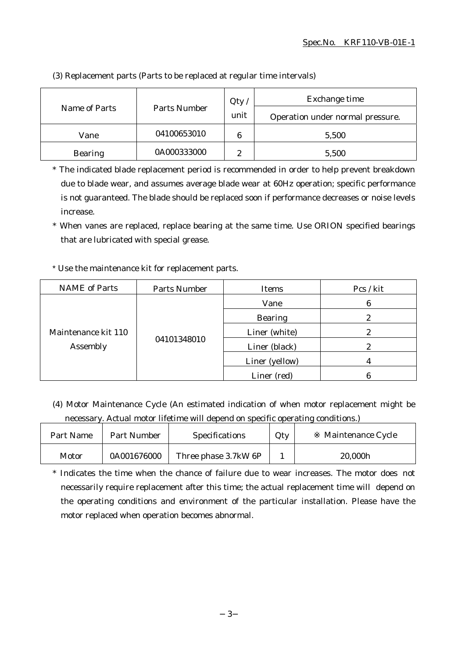|                |              | Qty    | Exchange time                    |
|----------------|--------------|--------|----------------------------------|
| Name of Parts  | Parts Number | unit   | Operation under normal pressure. |
| Vane           | 04100653010  | 6      | 5,500                            |
| <b>Bearing</b> | 0A000333000  | 9<br>∼ | 5,500                            |

(3) Replacement parts (Parts to be replaced at regular time intervals)

\* The indicated blade replacement period is recommended in order to help prevent breakdown due to blade wear, and assumes average blade wear at 60Hz operation; specific performance is not guaranteed. The blade should be replaced soon if performance decreases or noise levels increase.

\* When vanes are replaced, replace bearing at the same time. Use ORION specified bearings that are lubricated with special grease.

# \* Use the maintenance kit for replacement parts.

| <b>NAME</b> of Parts            | Parts Number | Items          | Pcs / kit |
|---------------------------------|--------------|----------------|-----------|
| Maintenance kit 110<br>Assembly | 04101348010  | Vane           | 6         |
|                                 |              | <b>Bearing</b> |           |
|                                 |              | Liner (white)  |           |
|                                 |              | Liner (black)  | 2         |
|                                 |              | Liner (yellow) |           |
|                                 |              | Liner (red)    |           |

(4) Motor Maintenance Cycle (An estimated indication of when motor replacement might be necessary. Actual motor lifetime will depend on specific operating conditions.)

| Part Name | Part Number | <b>Specifications</b> | Qty | Maintenance Cycle |
|-----------|-------------|-----------------------|-----|-------------------|
| Motor     | 0A001676000 | Three phase 3.7kW 6P  |     | 20,000h           |

\* Indicates the time when the chance of failure due to wear increases. The motor does not necessarily require replacement after this time; the actual replacement time will depend on the operating conditions and environment of the particular installation. Please have the motor replaced when operation becomes abnormal.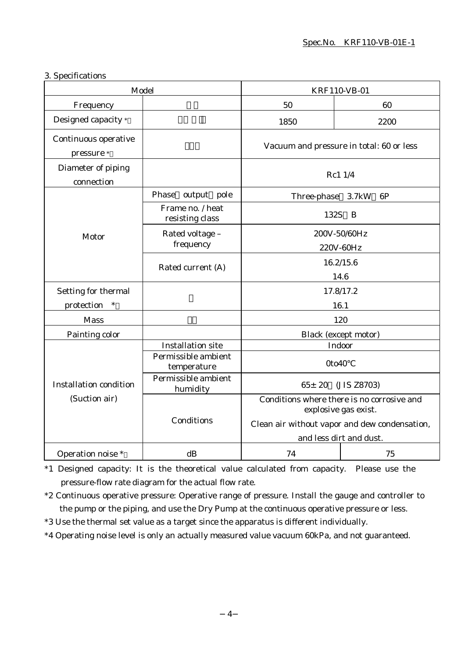### 3. Specifications

| Model                                          |                                     | KRF110-VB-01                                                                                                                                   |                             |
|------------------------------------------------|-------------------------------------|------------------------------------------------------------------------------------------------------------------------------------------------|-----------------------------|
| Frequency                                      |                                     | 50                                                                                                                                             | 60                          |
| Designed capacity *                            |                                     | 1850                                                                                                                                           | 2200                        |
| Continuous operative<br>pressure *             |                                     | Vacuum and pressure in total: 60 or less                                                                                                       |                             |
| Diameter of piping<br>connection               |                                     | Rc1 1/4                                                                                                                                        |                             |
|                                                | Phase<br>output pole                | Three-phase 3.7kW                                                                                                                              | 6P                          |
|                                                | Frame no. / heat<br>resisting class |                                                                                                                                                | 132S B                      |
| Motor                                          | Rated voltage -<br>frequency        | 200V-50/60Hz<br>220V-60Hz                                                                                                                      |                             |
|                                                | Rated current (A)                   | 16.2/15.6<br>14.6                                                                                                                              |                             |
| Setting for thermal                            |                                     | 17.8/17.2                                                                                                                                      |                             |
| protection<br>$\ast$                           |                                     | 16.1                                                                                                                                           |                             |
| <b>Mass</b>                                    |                                     | 120                                                                                                                                            |                             |
| Painting color                                 |                                     |                                                                                                                                                | <b>Black</b> (except motor) |
|                                                | <b>Installation site</b>            |                                                                                                                                                | Indoor                      |
|                                                | Permissible ambient<br>temperature  | 0to40                                                                                                                                          |                             |
| <b>Installation condition</b><br>(Suction air) | Permissible ambient<br>humidity     | $65 \pm 20$<br>(JIS Z8703)                                                                                                                     |                             |
|                                                | Conditions                          | Conditions where there is no corrosive and<br>explosive gas exist.<br>Clean air without vapor and dew condensation,<br>and less dirt and dust. |                             |
| Operation noise *                              | dB                                  | 74                                                                                                                                             | 75                          |

\*1 Designed capacity: It is the theoretical value calculated from capacity. Please use the pressure-flow rate diagram for the actual flow rate.

\*2 Continuous operative pressure: Operative range of pressure. Install the gauge and controller to the pump or the piping, and use the Dry Pump at the continuous operative pressure or less.

\*3 Use the thermal set value as a target since the apparatus is different individually.

\*4 Operating noise level is only an actually measured value vacuum 60kPa, and not guaranteed.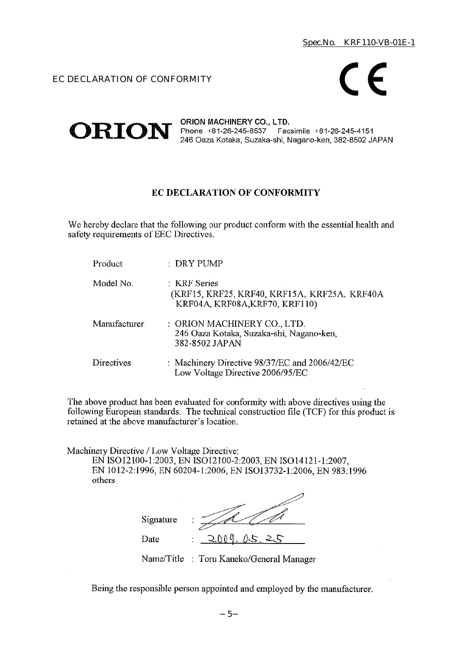# EC DECLARATION OF CONFORMITY



#### ORION MACHINERY CO., LTD.  $ORION$  Phone +81-26-245-8537 Facsimile +81-26-245-4151 246 Oaza Kotaka, Suzaka-shi, Nagano-ken, 382-8502 JAPAN

# EC DECLARATION OF CONFORMITY

We hereby declare that the following our product conform with the essential health and safety requirements of EEC Directives.

| Product      | $\therefore$ DRY PUMP                                                                          |
|--------------|------------------------------------------------------------------------------------------------|
| Model No.    | : KRF Series<br>(KRF15, KRF25, KRF40, KRF15A, KRF25A, KRF40A<br>KRF04A, KRF08A, KRF70, KRF110) |
| Manufacturer | : ORION MACHINERY CO., LTD.<br>246 Oaza Kotaka, Suzaka-shi, Nagano-ken,<br>382-8502 JAPAN      |
| Directives   | : Machinery Directive 98/37/EC and 2006/42/EC<br>Low Voltage Directive 2006/95/EC              |

The above product has been evaluated for conformity with above directives using the following European standards. The technical construction file (TCF) for this product is retained at the above manufacturer's location.

Machinery Directive / Low Voltage Directive:

EN ISO12100-1:2003, EN ISO12100-2:2003, EN ISO14121-1:2007, EN 1012-2:1996, EN 60204-1:2006, EN ISO13732-1:2006, EN 983:1996 others

| Signature | ٠<br>٠               |
|-----------|----------------------|
| Date      | ስስ ወ<br>15<br>٠<br>٠ |

Name/Title : Toru Kaneko/General Manager

Being the responsible person appointed and employed by the manufacturer.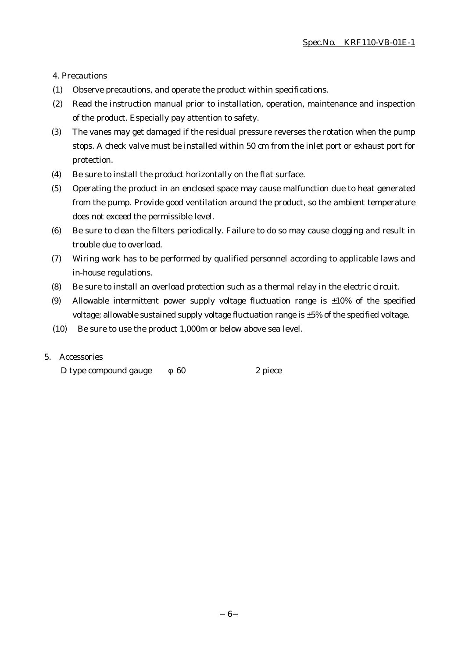4. Precautions

- (1) Observe precautions, and operate the product within specifications.
- (2) Read the instruction manual prior to installation, operation, maintenance and inspection of the product. Especially pay attention to safety.
- (3) The vanes may get damaged if the residual pressure reverses the rotation when the pump stops. A check valve must be installed within 50 cm from the inlet port or exhaust port for protection.
- (4) Be sure to install the product horizontally on the flat surface.
- (5) Operating the product in an enclosed space may cause malfunction due to heat generated from the pump. Provide good ventilation around the product, so the ambient temperature does not exceed the permissible level.
- (6) Be sure to clean the filters periodically. Failure to do so may cause clogging and result in trouble due to overload.
- (7) Wiring work has to be performed by qualified personnel according to applicable laws and in-house regulations.
- (8) Be sure to install an overload protection such as a thermal relay in the electric circuit.
- (9) Allowable intermittent power supply voltage fluctuation range is  $\pm 10\%$  of the specified voltage; allowable sustained supply voltage fluctuation range is ±5% of the specified voltage.
- (10) Be sure to use the product 1,000m or below above sea level.

### 5. Accessories

D type compound gauge 60 2 piece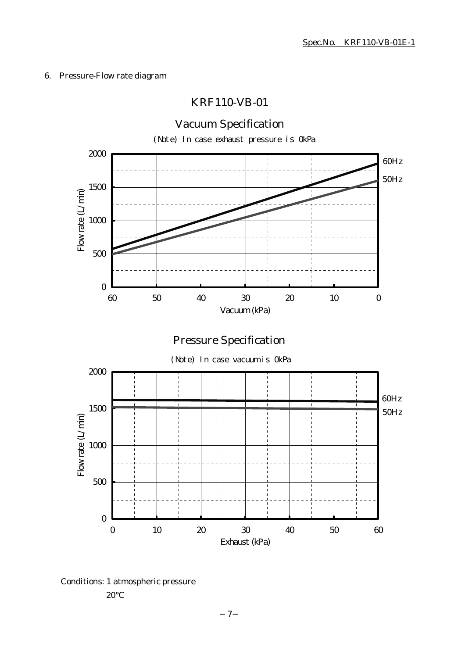### 6. Pressure-Flow rate diagram

# KRF110-VB-01



Conditions: 1 atmospheric pressure